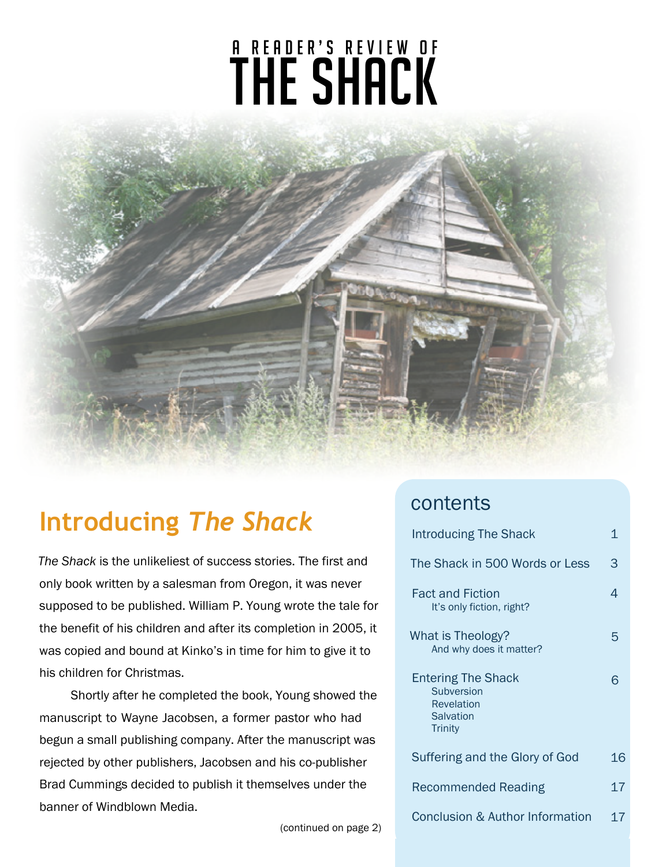# **A READER'S REVIEW OF THE SHACK**



# **Introducing** *The Shack*

*The Shack* is the unlikeliest of success stories. The first and only book written by a salesman from Oregon, it was never supposed to be published. William P. Young wrote the tale for the benefit of his children and after its completion in 2005, it was copied and bound at Kinko's in time for him to give it to his children for Christmas.

Shortly after he completed the book, Young showed the manuscript to Wayne Jacobsen, a former pastor who had begun a small publishing company. After the manuscript was rejected by other publishers, Jacobsen and his co-publisher Brad Cummings decided to publish it themselves under the banner of Windblown Media.

### contents

| <b>Introducing The Shack</b>                                                         | 1  |
|--------------------------------------------------------------------------------------|----|
| The Shack in 500 Words or Less                                                       | З  |
| <b>Fact and Fiction</b><br>It's only fiction, right?                                 | 4  |
| What is Theology?<br>And why does it matter?                                         | 5  |
| <b>Entering The Shack</b><br>Subversion<br>Revelation<br>Salvation<br><b>Trinity</b> | ൳  |
| Suffering and the Glory of God                                                       | 16 |
| Recommended Reading                                                                  | 17 |
| <b>Conclusion &amp; Author Information</b>                                           |    |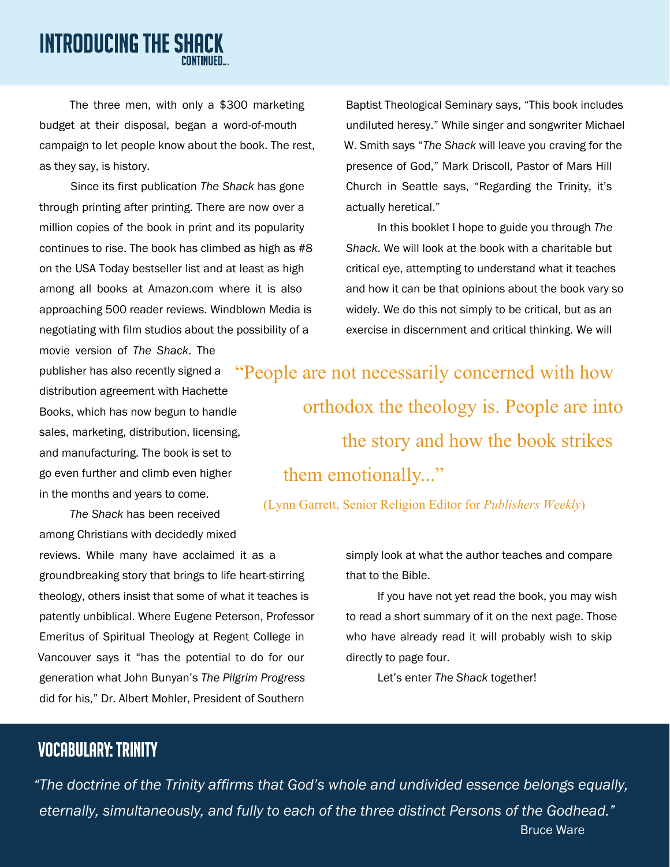# **INTRODUCING THE SHACK**

The three men, with only a \$300 marketing budget at their disposal, began a word-of-mouth campaign to let people know about the book. The rest, as they say, is history.

Since its first publication *The Shack* has gone through printing after printing. There are now over a million copies of the book in print and its popularity continues to rise. The book has climbed as high as #8 on the USA Today bestseller list and at least as high among all books at Amazon.com where it is also approaching 500 reader reviews. Windblown Media is negotiating with film studios about the possibility of a movie version of *The Shack*. The

publisher has also recently signed a distribution agreement with Hachette Books, which has now begun to handle sales, marketing, distribution, licensing, and manufacturing. The book is set to go even further and climb even higher in the months and years to come.

*The Shack* has been received among Christians with decidedly mixed reviews. While many have acclaimed it as a groundbreaking story that brings to life heart-stirring theology, others insist that some of what it teaches is patently unbiblical. Where Eugene Peterson, Professor Emeritus of Spiritual Theology at Regent College in Vancouver says it "has the potential to do for our generation what John Bunyan's *The Pilgrim Progress* did for his," Dr. Albert Mohler, President of Southern

### **VOCABULARY: TRINITY**

Baptist Theological Seminary says, "This book includes undiluted heresy." While singer and songwriter Michael W. Smith says "*The Shack* will leave you craving for the presence of God," Mark Driscoll, Pastor of Mars Hill Church in Seattle says, "Regarding the Trinity, it's actually heretical."

In this booklet I hope to guide you through *The Shack*. We will look at the book with a charitable but critical eye, attempting to understand what it teaches and how it can be that opinions about the book vary so widely. We do this not simply to be critical, but as an exercise in discernment and critical thinking. We will

"People are not necessarily concerned with how orthodox the theology is. People are into the story and how the book strikes them emotionally..."

(Lynn Garrett, Senior Religion Editor for *Publishers Weekly*)

simply look at what the author teaches and compare that to the Bible.

If you have not yet read the book, you may wish to read a short summary of it on the next page. Those who have already read it will probably wish to skip directly to page four.

Let's enter *The Shack* together!

*"The doctrine of the Trinity affirms that God's whole and undivided essence belongs equally, eternally, simultaneously, and fully to each of the three distinct Persons of the Godhead."* Bruce Ware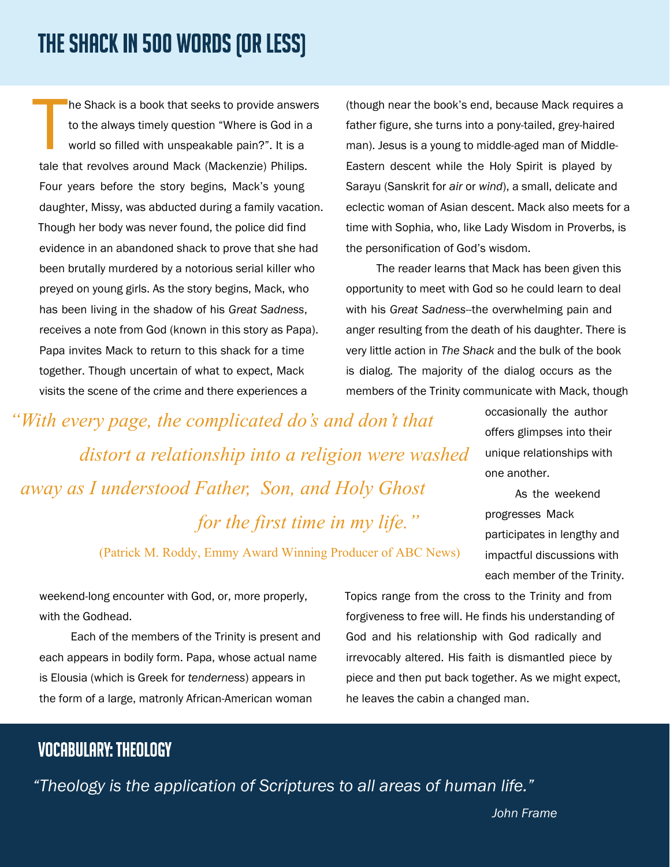# THE SHACK IN 500 WORDS [OR LESS]

 $\prod$ he Shack is a book that seeks to provide answers to the always timely question "Where is God in a world so filled with unspeakable pain?". It is a tale that revolves around Mack (Mackenzie) Philips. Four years before the story begins, Mack's young daughter, Missy, was abducted during a family vacation. Though her body was never found, the police did find evidence in an abandoned shack to prove that she had been brutally murdered by a notorious serial killer who preyed on young girls. As the story begins, Mack, who has been living in the shadow of his *Great Sadness*, receives a note from God (known in this story as Papa). Papa invites Mack to return to this shack for a time together. Though uncertain of what to expect, Mack visits the scene of the crime and there experiences a

(though near the book's end, because Mack requires a father figure, she turns into a pony-tailed, grey-haired man). Jesus is a young to middle-aged man of Middle-Eastern descent while the Holy Spirit is played by Sarayu (Sanskrit for *air* or *wind*), a small, delicate and eclectic woman of Asian descent. Mack also meets for a time with Sophia, who, like Lady Wisdom in Proverbs, is the personification of God's wisdom.

The reader learns that Mack has been given this opportunity to meet with God so he could learn to deal with his *Great Sadness*--the overwhelming pain and anger resulting from the death of his daughter. There is very little action in *The Shack* and the bulk of the book is dialog. The majority of the dialog occurs as the members of the Trinity communicate with Mack, though

*"With every page, the complicated do's and don't that distort a relationship into a religion were washed away as I understood Father, Son, and Holy Ghost for the first time in my life."*

offers glimpses into their unique relationships with one another. As the weekend

occasionally the author

progresses Mack participates in lengthy and impactful discussions with each member of the Trinity.

(Patrick M. Roddy, Emmy Award Winning Producer of ABC News)

weekend-long encounter with God, or, more properly, with the Godhead.

Each of the members of the Trinity is present and each appears in bodily form. Papa, whose actual name is Elousia (which is Greek for *tenderness*) appears in the form of a large, matronly African-American woman

Topics range from the cross to the Trinity and from forgiveness to free will. He finds his understanding of God and his relationship with God radically and irrevocably altered. His faith is dismantled piece by piece and then put back together. As we might expect, he leaves the cabin a changed man.

### **VOCABULARY: THEOLOGY**

*"Theology is the application of Scriptures to all areas of human life."*

 *John Frame*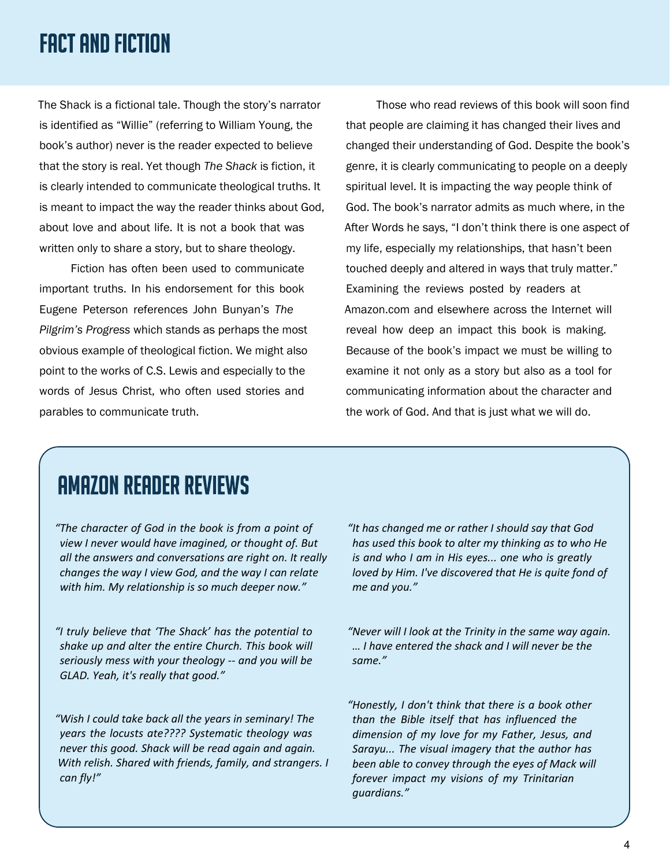## **FACT AND FICTION**

The Shack is a fictional tale. Though the story's narrator is identified as "Willie" (referring to William Young, the book's author) never is the reader expected to believe that the story is real. Yet though *The Shack* is fiction, it is clearly intended to communicate theological truths. It is meant to impact the way the reader thinks about God, about love and about life. It is not a book that was written only to share a story, but to share theology.

Fiction has often been used to communicate important truths. In his endorsement for this book Eugene Peterson references John Bunyan's *The Pilgrim's Progress* which stands as perhaps the most obvious example of theological fiction. We might also point to the works of C.S. Lewis and especially to the words of Jesus Christ, who often used stories and parables to communicate truth.

Those who read reviews of this book will soon find that people are claiming it has changed their lives and changed their understanding of God. Despite the book's genre, it is clearly communicating to people on a deeply spiritual level. It is impacting the way people think of God. The book's narrator admits as much where, in the After Words he says, "I don't think there is one aspect of my life, especially my relationships, that hasn't been touched deeply and altered in ways that truly matter." Examining the reviews posted by readers at Amazon.com and elsewhere across the Internet will reveal how deep an impact this book is making. Because of the book's impact we must be willing to examine it not only as a story but also as a tool for communicating information about the character and the work of God. And that is just what we will do.

### **AMAZON READER REVIEWS**

*"The character of God in the book is from a point of view I never would have imagined, or thought of. But all the answers and conversations are right on. It really changes the way I view God, and the way I can relate with him. My relationship is so much deeper now."*

*"I truly believe that 'The Shack' has the potential to shake up and alter the entire Church. This book will seriously mess with your theology -- and you will be GLAD. Yeah, it's really that good."*

*"Wish I could take back all the years in seminary! The years the locusts ate???? Systematic theology was never this good. Shack will be read again and again. With relish. Shared with friends, family, and strangers. I can fly!"*

*"It has changed me or rather I should say that God has used this book to alter my thinking as to who He is and who I am in His eyes... one who is greatly loved by Him. I've discovered that He is quite fond of me and you."*

*"Never will I look at the Trinity in the same way again. … I have entered the shack and I will never be the same."*

*"Honestly, I don't think that there is a book other than the Bible itself that has influenced the dimension of my love for my Father, Jesus, and Sarayu... The visual imagery that the author has been able to convey through the eyes of Mack will forever impact my visions of my Trinitarian guardians."*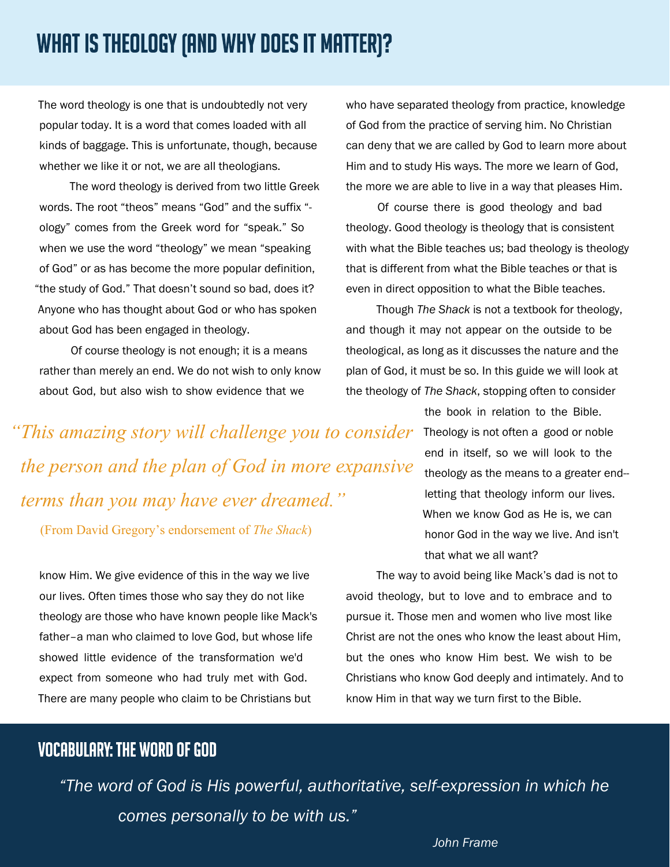## WHAT IS THEOLOGY (AND WHY DOES IT MATTER)?

The word theology is one that is undoubtedly not very popular today. It is a word that comes loaded with all kinds of baggage. This is unfortunate, though, because whether we like it or not, we are all theologians.

The word theology is derived from two little Greek words. The root "theos" means "God" and the suffix " ology" comes from the Greek word for "speak." So when we use the word "theology" we mean "speaking of God" or as has become the more popular definition, "the study of God." That doesn't sound so bad, does it? Anyone who has thought about God or who has spoken about God has been engaged in theology.

Of course theology is not enough; it is a means rather than merely an end. We do not wish to only know about God, but also wish to show evidence that we

who have separated theology from practice, knowledge of God from the practice of serving him. No Christian can deny that we are called by God to learn more about Him and to study His ways. The more we learn of God, the more we are able to live in a way that pleases Him.

Of course there is good theology and bad theology. Good theology is theology that is consistent with what the Bible teaches us; bad theology is theology that is different from what the Bible teaches or that is even in direct opposition to what the Bible teaches.

Though *The Shack* is not a textbook for theology, and though it may not appear on the outside to be theological, as long as it discusses the nature and the plan of God, it must be so. In this guide we will look at the theology of *The Shack*, stopping often to consider

> the book in relation to the Bible. Theology is not often a good or noble end in itself, so we will look to the theology as the means to a greater end- letting that theology inform our lives. When we know God as He is, we can honor God in the way we live. And isn't that what we all want?

The way to avoid being like Mack's dad is not to avoid theology, but to love and to embrace and to pursue it. Those men and women who live most like Christ are not the ones who know the least about Him, but the ones who know Him best. We wish to be Christians who know God deeply and intimately. And to know Him in that way we turn first to the Bible.

*"This amazing story will challenge you to consider the person and the plan of God in more expansive terms than you may have ever dreamed."* (From David Gregory's endorsement of *The Shack*)

know Him. We give evidence of this in the way we live our lives. Often times those who say they do not like theology are those who have known people like Mack's father–a man who claimed to love God, but whose life showed little evidence of the transformation we'd expect from someone who had truly met with God. There are many people who claim to be Christians but

### **VOCABULARY: THE WORD OF GOD**

 *"The word of God is His powerful, authoritative, self-expression in which he comes personally to be with us."*

 *John Frame*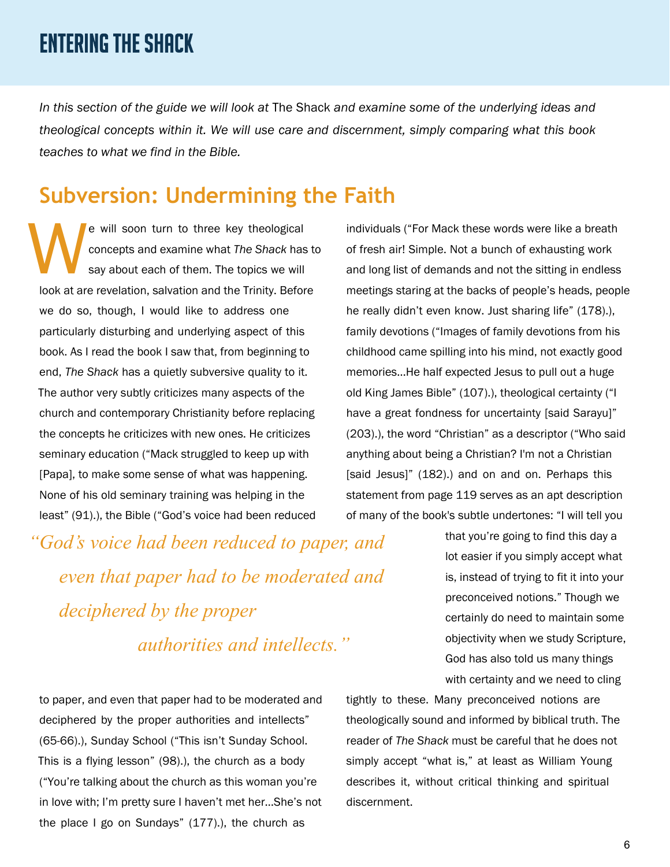### **ENTERING THE SHACK**

*In this section of the guide we will look at* The Shack *and examine some of the underlying ideas and theological concepts within it. We will use care and discernment, simply comparing what this book teaches to what we find in the Bible.*

### **Subversion: Undermining the Faith**

W<br>W e will soon turn to three key theological concepts and examine what *The Shack* has to say about each of them. The topics we will look at are revelation, salvation and the Trinity. Before we do so, though, I would like to address one particularly disturbing and underlying aspect of this book. As I read the book I saw that, from beginning to end, *The Shack* has a quietly subversive quality to it. The author very subtly criticizes many aspects of the church and contemporary Christianity before replacing the concepts he criticizes with new ones. He criticizes seminary education ("Mack struggled to keep up with [Papa], to make some sense of what was happening. None of his old seminary training was helping in the least" (91).), the Bible ("God's voice had been reduced

*"God's voice had been reduced to paper, and even that paper had to be moderated and deciphered by the proper authorities and intellects."*

to paper, and even that paper had to be moderated and deciphered by the proper authorities and intellects" (65-66).), Sunday School ("This isn't Sunday School. This is a flying lesson" (98).), the church as a body ("You're talking about the church as this woman you're in love with; I'm pretty sure I haven't met her…She's not the place I go on Sundays"  $(177)$ .), the church as

individuals ("For Mack these words were like a breath of fresh air! Simple. Not a bunch of exhausting work and long list of demands and not the sitting in endless meetings staring at the backs of people's heads, people he really didn't even know. Just sharing life" (178).), family devotions ("Images of family devotions from his childhood came spilling into his mind, not exactly good memories…He half expected Jesus to pull out a huge old King James Bible" (107).), theological certainty ("I have a great fondness for uncertainty [said Sarayu]" (203).), the word "Christian" as a descriptor ("Who said anything about being a Christian? I'm not a Christian [said Jesus]" (182).) and on and on. Perhaps this statement from page 119 serves as an apt description of many of the book's subtle undertones: "I will tell you

> that you're going to find this day a lot easier if you simply accept what is, instead of trying to fit it into your preconceived notions." Though we certainly do need to maintain some objectivity when we study Scripture, God has also told us many things with certainty and we need to cling

tightly to these. Many preconceived notions are theologically sound and informed by biblical truth. The reader of *The Shack* must be careful that he does not simply accept "what is," at least as William Young describes it, without critical thinking and spiritual discernment.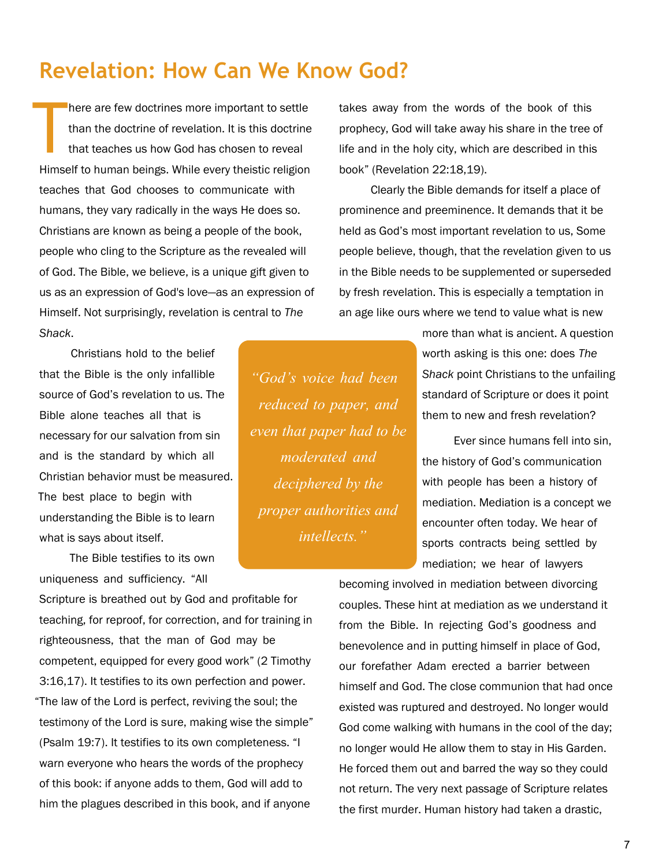### **Revelation: How Can We Know God?**

 $\prod_{\text{Unimoc}}$ here are few doctrines more important to settle than the doctrine of revelation. It is this doctrine that teaches us how God has chosen to reveal Himself to human beings. While every theistic religion teaches that God chooses to communicate with humans, they vary radically in the ways He does so. Christians are known as being a people of the book, people who cling to the Scripture as the revealed will of God. The Bible, we believe, is a unique gift given to us as an expression of God's love—as an expression of Himself. Not surprisingly, revelation is central to *The Shack*.

Christians hold to the belief that the Bible is the only infallible source of God's revelation to us. The Bible alone teaches all that is necessary for our salvation from sin and is the standard by which all Christian behavior must be measured. The best place to begin with understanding the Bible is to learn what is says about itself.

The Bible testifies to its own uniqueness and sufficiency. "All

Scripture is breathed out by God and profitable for teaching, for reproof, for correction, and for training in righteousness, that the man of God may be competent, equipped for every good work" (2 Timothy 3:16,17). It testifies to its own perfection and power. "The law of the Lord is perfect, reviving the soul; the testimony of the Lord is sure, making wise the simple" (Psalm 19:7). It testifies to its own completeness. "I warn everyone who hears the words of the prophecy of this book: if anyone adds to them, God will add to him the plagues described in this book, and if anyone

takes away from the words of the book of this prophecy, God will take away his share in the tree of life and in the holy city, which are described in this book" (Revelation 22:18,19).

Clearly the Bible demands for itself a place of prominence and preeminence. It demands that it be held as God's most important revelation to us, Some people believe, though, that the revelation given to us in the Bible needs to be supplemented or superseded by fresh revelation. This is especially a temptation in an age like ours where we tend to value what is new

> more than what is ancient. A question worth asking is this one: does *The Shack* point Christians to the unfailing standard of Scripture or does it point them to new and fresh revelation?

Ever since humans fell into sin, the history of God's communication with people has been a history of mediation. Mediation is a concept we encounter often today. We hear of sports contracts being settled by mediation; we hear of lawyers

becoming involved in mediation between divorcing couples. These hint at mediation as we understand it from the Bible. In rejecting God's goodness and benevolence and in putting himself in place of God, our forefather Adam erected a barrier between himself and God. The close communion that had once existed was ruptured and destroyed. No longer would God come walking with humans in the cool of the day; no longer would He allow them to stay in His Garden. He forced them out and barred the way so they could not return. The very next passage of Scripture relates the first murder. Human history had taken a drastic,

*reduced to paper, and even that paper had to be moderated and deciphered by the proper authorities and intellects."*

*"God's voice had been*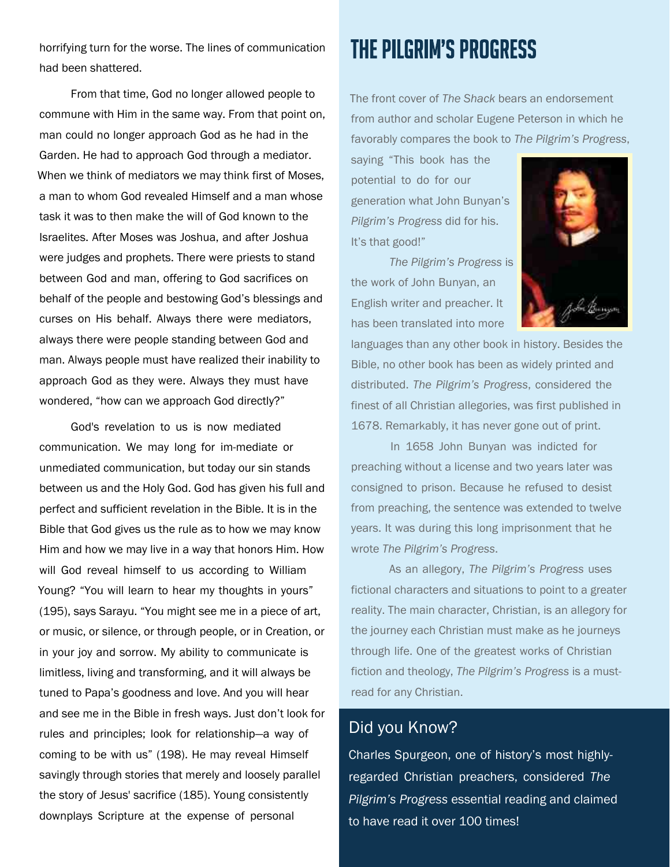horrifying turn for the worse. The lines of communication had been shattered.

From that time, God no longer allowed people to commune with Him in the same way. From that point on, man could no longer approach God as he had in the Garden. He had to approach God through a mediator. When we think of mediators we may think first of Moses, a man to whom God revealed Himself and a man whose task it was to then make the will of God known to the Israelites. After Moses was Joshua, and after Joshua were judges and prophets. There were priests to stand between God and man, offering to God sacrifices on behalf of the people and bestowing God's blessings and curses on His behalf. Always there were mediators, always there were people standing between God and man. Always people must have realized their inability to approach God as they were. Always they must have wondered, "how can we approach God directly?"

God's revelation to us is now mediated communication. We may long for im-mediate or unmediated communication, but today our sin stands between us and the Holy God. God has given his full and perfect and sufficient revelation in the Bible. It is in the Bible that God gives us the rule as to how we may know Him and how we may live in a way that honors Him. How will God reveal himself to us according to William Young? "You will learn to hear my thoughts in yours" (195), says Sarayu. "You might see me in a piece of art, or music, or silence, or through people, or in Creation, or in your joy and sorrow. My ability to communicate is limitless, living and transforming, and it will always be tuned to Papa's goodness and love. And you will hear and see me in the Bible in fresh ways. Just don't look for rules and principles; look for relationship—a way of coming to be with us" (198). He may reveal Himself savingly through stories that merely and loosely parallel the story of Jesus' sacrifice (185). Young consistently downplays Scripture at the expense of personal

## **THE PILGRIM'S PROGRESS**

The front cover of *The Shack* bears an endorsement from author and scholar Eugene Peterson in which he favorably compares the book to *The Pilgrim's Progress*,

saying "This book has the potential to do for our generation what John Bunyan's *Pilgrim's Progress* did for his. It's that good!"

*The Pilgrim's Progress* is the work of John Bunyan, an English writer and preacher. It has been translated into more



languages than any other book in history. Besides the Bible, no other book has been as widely printed and distributed. *The Pilgrim's Progress*, considered the finest of all Christian allegories, was first published in 1678. Remarkably, it has never gone out of print.

In 1658 John Bunyan was indicted for preaching without a license and two years later was consigned to prison. Because he refused to desist from preaching, the sentence was extended to twelve years. It was during this long imprisonment that he wrote *The Pilgrim's Progress*.

As an allegory, *The Pilgrim's Progress* uses fictional characters and situations to point to a greater reality. The main character, Christian, is an allegory for the journey each Christian must make as he journeys through life. One of the greatest works of Christian fiction and theology, *The Pilgrim's Progress* is a mustread for any Christian.

#### Did you Know?

Charles Spurgeon, one of history's most highlyregarded Christian preachers, considered *The Pilgrim's Progress* essential reading and claimed to have read it over 100 times!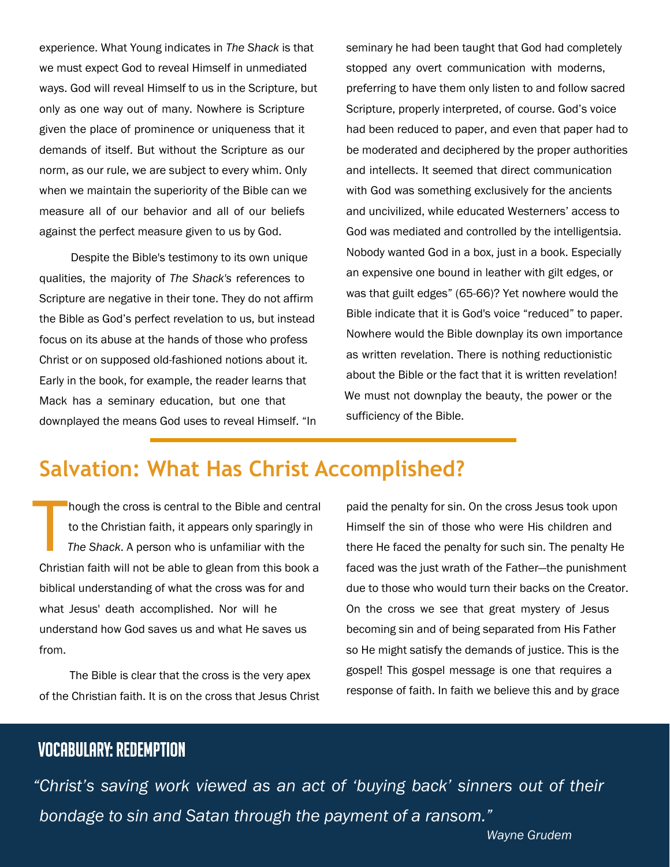experience. What Young indicates in *The Shack* is that we must expect God to reveal Himself in unmediated ways. God will reveal Himself to us in the Scripture, but only as one way out of many. Nowhere is Scripture given the place of prominence or uniqueness that it demands of itself. But without the Scripture as our norm, as our rule, we are subject to every whim. Only when we maintain the superiority of the Bible can we measure all of our behavior and all of our beliefs against the perfect measure given to us by God.

Despite the Bible's testimony to its own unique qualities, the majority of *The Shack's* references to Scripture are negative in their tone. They do not affirm the Bible as God's perfect revelation to us, but instead focus on its abuse at the hands of those who profess Christ or on supposed old-fashioned notions about it. Early in the book, for example, the reader learns that Mack has a seminary education, but one that downplayed the means God uses to reveal Himself. "In

seminary he had been taught that God had completely stopped any overt communication with moderns, preferring to have them only listen to and follow sacred Scripture, properly interpreted, of course. God's voice had been reduced to paper, and even that paper had to be moderated and deciphered by the proper authorities and intellects. It seemed that direct communication with God was something exclusively for the ancients and uncivilized, while educated Westerners' access to God was mediated and controlled by the intelligentsia. Nobody wanted God in a box, just in a book. Especially an expensive one bound in leather with gilt edges, or was that guilt edges" (65-66)? Yet nowhere would the Bible indicate that it is God's voice "reduced" to paper. Nowhere would the Bible downplay its own importance as written revelation. There is nothing reductionistic about the Bible or the fact that it is written revelation! We must not downplay the beauty, the power or the sufficiency of the Bible.

### **Salvation: What Has Christ Accomplished?**

 $\overline{\mathbf{r}}$ hough the cross is central to the Bible and central to the Christian faith, it appears only sparingly in *The Shack*. A person who is unfamiliar with the Christian faith will not be able to glean from this book a biblical understanding of what the cross was for and what Jesus' death accomplished. Nor will he understand how God saves us and what He saves us from.

The Bible is clear that the cross is the very apex of the Christian faith. It is on the cross that Jesus Christ paid the penalty for sin. On the cross Jesus took upon Himself the sin of those who were His children and there He faced the penalty for such sin. The penalty He faced was the just wrath of the Father—the punishment due to those who would turn their backs on the Creator. On the cross we see that great mystery of Jesus becoming sin and of being separated from His Father so He might satisfy the demands of justice. This is the gospel! This gospel message is one that requires a response of faith. In faith we believe this and by grace

#### **VOCABULARY: REDEMPTION**

*"Christ's saving work viewed as an act of 'buying back' sinners out of their bondage to sin and Satan through the payment of a ransom."*

 *Wayne Grudem*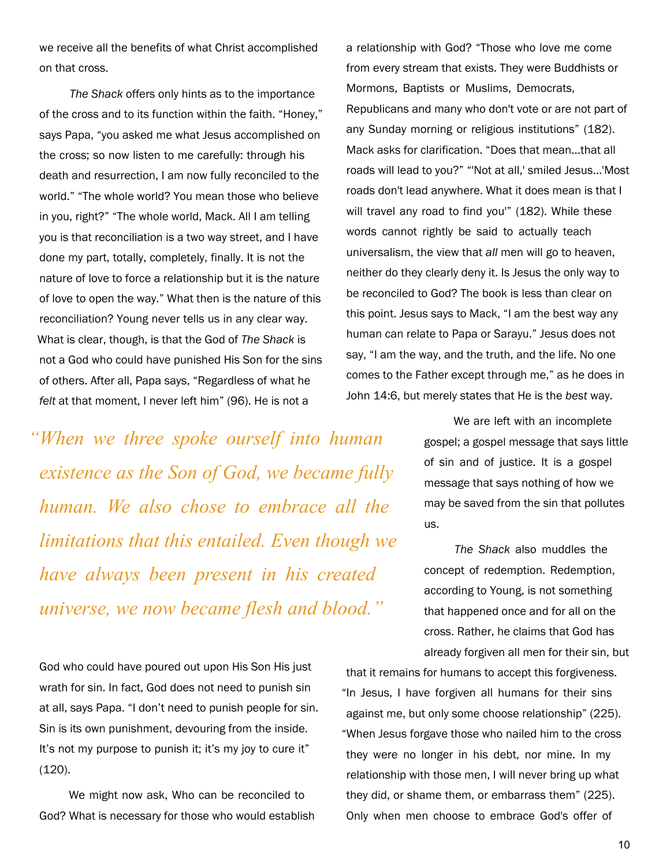we receive all the benefits of what Christ accomplished on that cross.

*The Shack* offers only hints as to the importance of the cross and to its function within the faith. "Honey," says Papa, "you asked me what Jesus accomplished on the cross; so now listen to me carefully: through his death and resurrection, I am now fully reconciled to the world." "The whole world? You mean those who believe in you, right?" "The whole world, Mack. All I am telling you is that reconciliation is a two way street, and I have done my part, totally, completely, finally. It is not the nature of love to force a relationship but it is the nature of love to open the way." What then is the nature of this reconciliation? Young never tells us in any clear way. What is clear, though, is that the God of *The Shack* is not a God who could have punished His Son for the sins of others. After all, Papa says, "Regardless of what he *felt* at that moment, I never left him" (96). He is not a

*"When we three spoke ourself into human existence as the Son of God, we became fully human. We also chose to embrace all the limitations that this entailed. Even though we have always been present in his created universe, we now became flesh and blood."*

God who could have poured out upon His Son His just wrath for sin. In fact, God does not need to punish sin at all, says Papa. "I don't need to punish people for sin. Sin is its own punishment, devouring from the inside. It's not my purpose to punish it; it's my joy to cure it" (120).

We might now ask, Who can be reconciled to God? What is necessary for those who would establish a relationship with God? "Those who love me come from every stream that exists. They were Buddhists or Mormons, Baptists or Muslims, Democrats, Republicans and many who don't vote or are not part of any Sunday morning or religious institutions" (182). Mack asks for clarification. "Does that mean...that all roads will lead to you?" "'Not at all,' smiled Jesus...'Most roads don't lead anywhere. What it does mean is that I will travel any road to find you'" (182). While these words cannot rightly be said to actually teach universalism, the view that *all* men will go to heaven, neither do they clearly deny it. Is Jesus the only way to be reconciled to God? The book is less than clear on this point. Jesus says to Mack, "I am the best way any human can relate to Papa or Sarayu." Jesus does not say, "I am the way, and the truth, and the life. No one comes to the Father except through me," as he does in John 14:6, but merely states that He is the *best* way.

> We are left with an incomplete gospel; a gospel message that says little of sin and of justice. It is a gospel message that says nothing of how we may be saved from the sin that pollutes us.

> *The Shack* also muddles the concept of redemption. Redemption, according to Young, is not something that happened once and for all on the cross. Rather, he claims that God has already forgiven all men for their sin, but

that it remains for humans to accept this forgiveness. "In Jesus, I have forgiven all humans for their sins against me, but only some choose relationship" (225). "When Jesus forgave those who nailed him to the cross they were no longer in his debt, nor mine. In my relationship with those men, I will never bring up what they did, or shame them, or embarrass them" (225). Only when men choose to embrace God's offer of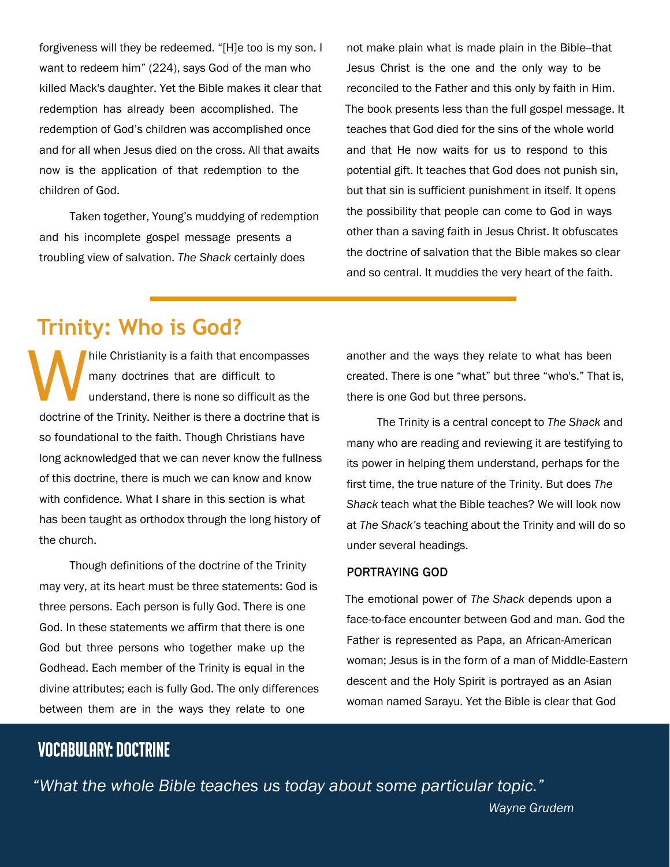forgiveness will they be redeemed. "[H]e too is my son. I want to redeem him" (224), says God of the man who killed Mack's daughter. Yet the Bible makes it clear that redemption has already been accomplished. The redemption of God's children was accomplished once and for all when Jesus died on the cross. All that awaits now is the application of that redemption to the children of God.

Taken together, Young's muddying of redemption and his incomplete gospel message presents a troubling view of salvation. *The Shack* certainly does

not make plain what is made plain in the Bible--that Jesus Christ is the one and the only way to be reconciled to the Father and this only by faith in Him. The book presents less than the full gospel message. It teaches that God died for the sins of the whole world and that He now waits for us to respond to this potential gift. It teaches that God does not punish sin, but that sin is sufficient punishment in itself. It opens the possibility that people can come to God in ways other than a saving faith in Jesus Christ. It obfuscates the doctrine of salvation that the Bible makes so clear and so central. It muddies the very heart of the faith.

### **Trinity: Who is God?**

W<br>M hile Christianity is a faith that encompasses many doctrines that are difficult to understand, there is none so difficult as the doctrine of the Trinity. Neither is there a doctrine that is so foundational to the faith. Though Christians have long acknowledged that we can never know the fullness of this doctrine, there is much we can know and know with confidence. What I share in this section is what has been taught as orthodox through the long history of the church.

Though definitions of the doctrine of the Trinity may very, at its heart must be three statements: God is three persons. Each person is fully God. There is one God. In these statements we affirm that there is one God but three persons who together make up the Godhead. Each member of the Trinity is equal in the divine attributes; each is fully God. The only differences between them are in the ways they relate to one

another and the ways they relate to what has been created. There is one "what" but three "who's." That is, there is one God but three persons.

The Trinity is a central concept to *The Shack* and many who are reading and reviewing it are testifying to its power in helping them understand, perhaps for the first time, the true nature of the Trinity. But does *The Shack* teach what the Bible teaches? We will look now at *The Shack's* teaching about the Trinity and will do so under several headings.

#### PORTRAYING GOD

The emotional power of *The Shack* depends upon a face-to-face encounter between God and man. God the Father is represented as Papa, an African-American woman; Jesus is in the form of a man of Middle-Eastern descent and the Holy Spirit is portrayed as an Asian woman named Sarayu. Yet the Bible is clear that God

#### **VOCABULARY: DOCTRINE**

*"What the whole Bible teaches us today about some particular topic." Wayne Grudem*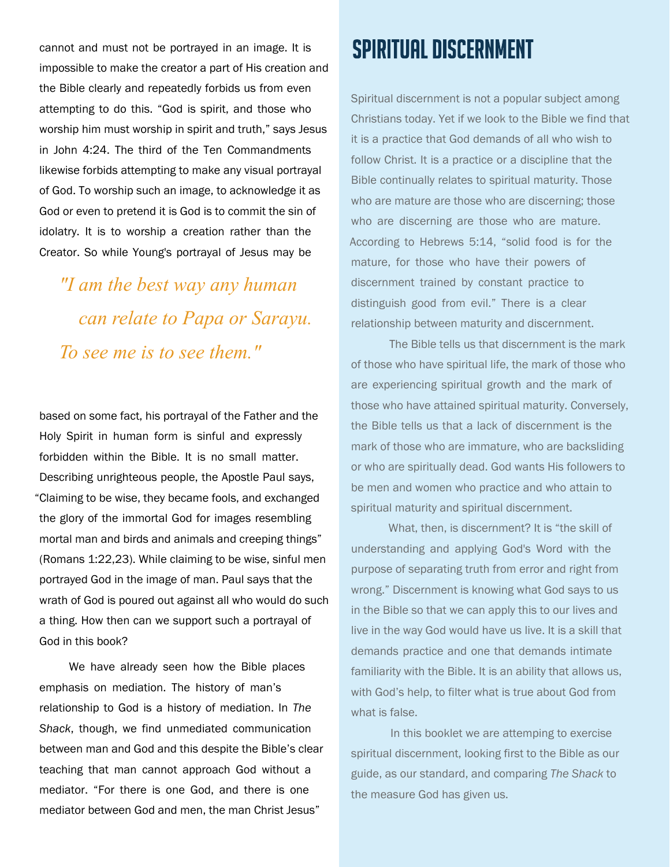cannot and must not be portrayed in an image. It is impossible to make the creator a part of His creation and the Bible clearly and repeatedly forbids us from even attempting to do this. "God is spirit, and those who worship him must worship in spirit and truth," says Jesus in John 4:24. The third of the Ten Commandments likewise forbids attempting to make any visual portrayal of God. To worship such an image, to acknowledge it as God or even to pretend it is God is to commit the sin of idolatry. It is to worship a creation rather than the Creator. So while Young's portrayal of Jesus may be

# *"I am the best way any human can relate to Papa or Sarayu. To see me is to see them."*

based on some fact, his portrayal of the Father and the Holy Spirit in human form is sinful and expressly forbidden within the Bible. It is no small matter. Describing unrighteous people, the Apostle Paul says, "Claiming to be wise, they became fools, and exchanged the glory of the immortal God for images resembling mortal man and birds and animals and creeping things" (Romans 1:22,23). While claiming to be wise, sinful men portrayed God in the image of man. Paul says that the wrath of God is poured out against all who would do such a thing. How then can we support such a portrayal of God in this book?

We have already seen how the Bible places emphasis on mediation. The history of man's relationship to God is a history of mediation. In *The Shack*, though, we find unmediated communication between man and God and this despite the Bible's clear teaching that man cannot approach God without a mediator. "For there is one God, and there is one mediator between God and men, the man Christ Jesus"

## **SPIRITUAL DISCERNMENT**

Spiritual discernment is not a popular subject among Christians today. Yet if we look to the Bible we find that it is a practice that God demands of all who wish to follow Christ. It is a practice or a discipline that the Bible continually relates to spiritual maturity. Those who are mature are those who are discerning; those who are discerning are those who are mature. According to Hebrews 5:14, "solid food is for the mature, for those who have their powers of discernment trained by constant practice to distinguish good from evil." There is a clear relationship between maturity and discernment.

The Bible tells us that discernment is the mark of those who have spiritual life, the mark of those who are experiencing spiritual growth and the mark of those who have attained spiritual maturity. Conversely, the Bible tells us that a lack of discernment is the mark of those who are immature, who are backsliding or who are spiritually dead. God wants His followers to be men and women who practice and who attain to spiritual maturity and spiritual discernment.

What, then, is discernment? It is "the skill of understanding and applying God's Word with the purpose of separating truth from error and right from wrong." Discernment is knowing what God says to us in the Bible so that we can apply this to our lives and live in the way God would have us live. It is a skill that demands practice and one that demands intimate familiarity with the Bible. It is an ability that allows us, with God's help, to filter what is true about God from what is false.

In this booklet we are attemping to exercise spiritual discernment, looking first to the Bible as our guide, as our standard, and comparing *The Shack* to the measure God has given us.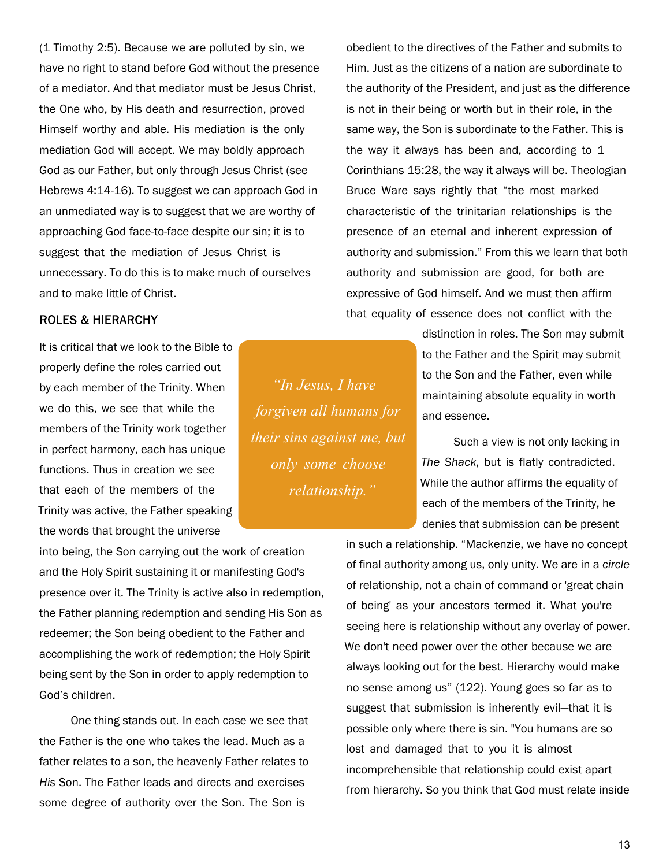(1 Timothy 2:5). Because we are polluted by sin, we have no right to stand before God without the presence of a mediator. And that mediator must be Jesus Christ, the One who, by His death and resurrection, proved Himself worthy and able. His mediation is the only mediation God will accept. We may boldly approach God as our Father, but only through Jesus Christ (see Hebrews 4:14-16). To suggest we can approach God in an unmediated way is to suggest that we are worthy of approaching God face-to-face despite our sin; it is to suggest that the mediation of Jesus Christ is unnecessary. To do this is to make much of ourselves and to make little of Christ.

#### **ROLES & HIERARCHY**

It is critical that we look to the Bible to properly define the roles carried out by each member of the Trinity. When we do this, we see that while the members of the Trinity work together in perfect harmony, each has unique functions. Thus in creation we see that each of the members of the Trinity was active, the Father speaking the words that brought the universe

into being, the Son carrying out the work of creation and the Holy Spirit sustaining it or manifesting God's presence over it. The Trinity is active also in redemption, the Father planning redemption and sending His Son as redeemer; the Son being obedient to the Father and accomplishing the work of redemption; the Holy Spirit being sent by the Son in order to apply redemption to God's children.

One thing stands out. In each case we see that the Father is the one who takes the lead. Much as a father relates to a son, the heavenly Father relates to *His* Son. The Father leads and directs and exercises some degree of authority over the Son. The Son is

obedient to the directives of the Father and submits to Him. Just as the citizens of a nation are subordinate to the authority of the President, and just as the difference is not in their being or worth but in their role, in the same way, the Son is subordinate to the Father. This is the way it always has been and, according to 1 Corinthians 15:28, the way it always will be. Theologian Bruce Ware says rightly that "the most marked characteristic of the trinitarian relationships is the presence of an eternal and inherent expression of authority and submission." From this we learn that both authority and submission are good, for both are expressive of God himself. And we must then affirm that equality of essence does not conflict with the

> distinction in roles. The Son may submit to the Father and the Spirit may submit to the Son and the Father, even while maintaining absolute equality in worth and essence.

Such a view is not only lacking in *The Shack*, but is flatly contradicted. While the author affirms the equality of each of the members of the Trinity, he denies that submission can be present

in such a relationship. "Mackenzie, we have no concept of final authority among us, only unity. We are in a *circle* of relationship, not a chain of command or 'great chain of being' as your ancestors termed it. What you're seeing here is relationship without any overlay of power. We don't need power over the other because we are always looking out for the best. Hierarchy would make no sense among us" (122). Young goes so far as to suggest that submission is inherently evil—that it is possible only where there is sin. "You humans are so lost and damaged that to you it is almost incomprehensible that relationship could exist apart from hierarchy. So you think that God must relate inside

*"In Jesus, I have forgiven all humans for their sins against me, but only some choose relationship."*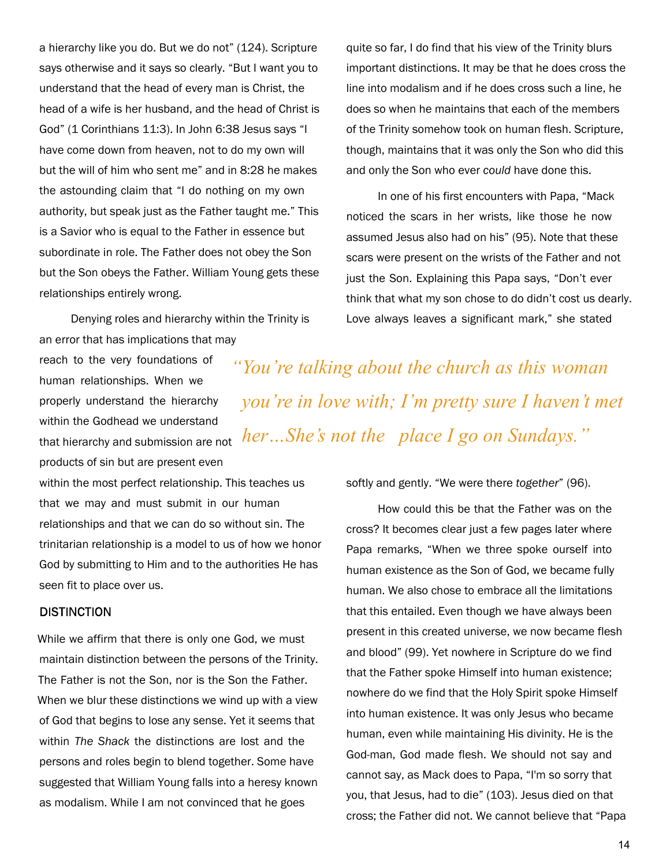a hierarchy like you do. But we do not" (124). Scripture says otherwise and it says so clearly. "But I want you to understand that the head of every man is Christ, the head of a wife is her husband, and the head of Christ is God" (1 Corinthians 11:3). In John 6:38 Jesus says "I have come down from heaven, not to do my own will but the will of him who sent me" and in 8:28 he makes the astounding claim that "I do nothing on my own authority, but speak just as the Father taught me." This is a Savior who is equal to the Father in essence but subordinate in role. The Father does not obey the Son but the Son obeys the Father. William Young gets these relationships entirely wrong.

Denying roles and hierarchy within the Trinity is an error that has implications that may

quite so far, I do find that his view of the Trinity blurs important distinctions. It may be that he does cross the line into modalism and if he does cross such a line, he does so when he maintains that each of the members of the Trinity somehow took on human flesh. Scripture, though, maintains that it was only the Son who did this and only the Son who ever *could* have done this.

In one of his first encounters with Papa, "Mack noticed the scars in her wrists, like those he now assumed Jesus also had on his" (95). Note that these scars were present on the wrists of the Father and not just the Son. Explaining this Papa says, "Don't ever think that what my son chose to do didn't cost us dearly. Love always leaves a significant mark," she stated

reach to the very foundations of human relationships. When we properly understand the hierarchy within the Godhead we understand that hierarchy and submission are not *her…She's not the place I go on Sundays."*products of sin but are present even

within the most perfect relationship. This teaches us that we may and must submit in our human relationships and that we can do so without sin. The trinitarian relationship is a model to us of how we honor God by submitting to Him and to the authorities He has seen fit to place over us.

#### **DISTINCTION**

While we affirm that there is only one God, we must maintain distinction between the persons of the Trinity. The Father is not the Son, nor is the Son the Father. When we blur these distinctions we wind up with a view of God that begins to lose any sense. Yet it seems that within *The Shack* the distinctions are lost and the persons and roles begin to blend together. Some have suggested that William Young falls into a heresy known as modalism. While I am not convinced that he goes

softly and gently. "We were there *together*" (96).

*"You're talking about the church as this woman*

*you're in love with; I'm pretty sure I haven't met*

How could this be that the Father was on the cross? It becomes clear just a few pages later where Papa remarks, "When we three spoke ourself into human existence as the Son of God, we became fully human. We also chose to embrace all the limitations that this entailed. Even though we have always been present in this created universe, we now became flesh and blood" (99). Yet nowhere in Scripture do we find that the Father spoke Himself into human existence; nowhere do we find that the Holy Spirit spoke Himself into human existence. It was only Jesus who became human, even while maintaining His divinity. He is the God-man, God made flesh. We should not say and cannot say, as Mack does to Papa, "I'm so sorry that you, that Jesus, had to die" (103). Jesus died on that cross; the Father did not. We cannot believe that "Papa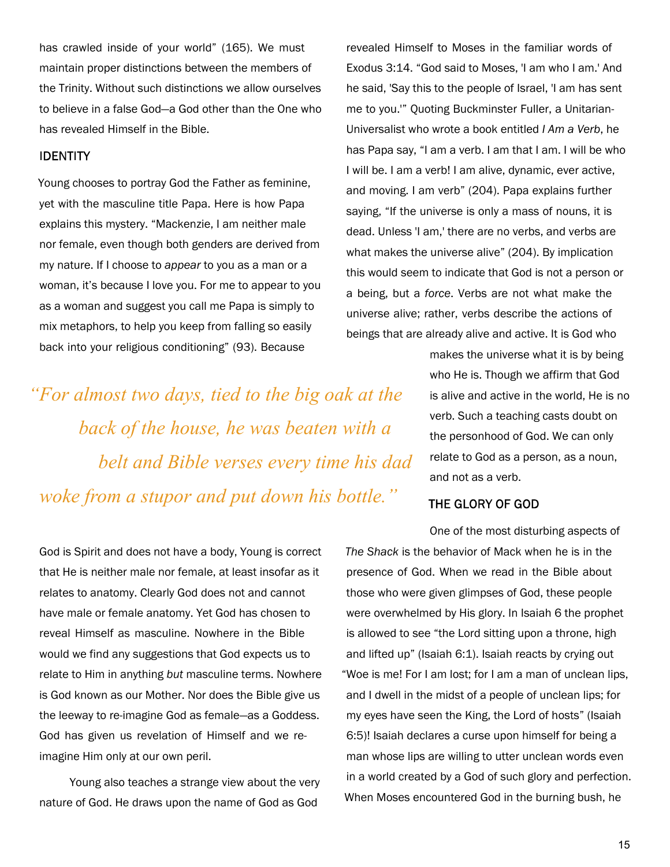has crawled inside of your world" (165). We must maintain proper distinctions between the members of the Trinity. Without such distinctions we allow ourselves to believe in a false God—a God other than the One who has revealed Himself in the Bible.

#### **IDENTITY**

Young chooses to portray God the Father as feminine, yet with the masculine title Papa. Here is how Papa explains this mystery. "Mackenzie, I am neither male nor female, even though both genders are derived from my nature. If I choose to *appear* to you as a man or a woman, it's because I love you. For me to appear to you as a woman and suggest you call me Papa is simply to mix metaphors, to help you keep from falling so easily back into your religious conditioning" (93). Because

*"For almost two days, tied to the big oak at the back of the house, he was beaten with a belt and Bible verses every time his dad woke from a stupor and put down his bottle."*

God is Spirit and does not have a body, Young is correct that He is neither male nor female, at least insofar as it relates to anatomy. Clearly God does not and cannot have male or female anatomy. Yet God has chosen to reveal Himself as masculine. Nowhere in the Bible would we find any suggestions that God expects us to relate to Him in anything *but* masculine terms. Nowhere is God known as our Mother. Nor does the Bible give us the leeway to re-imagine God as female—as a Goddess. God has given us revelation of Himself and we reimagine Him only at our own peril.

Young also teaches a strange view about the very nature of God. He draws upon the name of God as God

revealed Himself to Moses in the familiar words of Exodus 3:14. "God said to Moses, 'I am who I am.' And he said, 'Say this to the people of Israel, 'I am has sent me to you.'" Quoting Buckminster Fuller, a Unitarian-Universalist who wrote a book entitled *I Am a Verb*, he has Papa say, "I am a verb. I am that I am. I will be who I will be. I am a verb! I am alive, dynamic, ever active, and moving. I am verb" (204). Papa explains further saying, "If the universe is only a mass of nouns, it is dead. Unless 'I am,' there are no verbs, and verbs are what makes the universe alive" (204). By implication this would seem to indicate that God is not a person or a being, but a *force*. Verbs are not what make the universe alive; rather, verbs describe the actions of beings that are already alive and active. It is God who

> makes the universe what it is by being who He is. Though we affirm that God is alive and active in the world, He is no verb. Such a teaching casts doubt on the personhood of God. We can only relate to God as a person, as a noun, and not as a verb.

#### THE GLORY OF GOD

One of the most disturbing aspects of *The Shack* is the behavior of Mack when he is in the presence of God. When we read in the Bible about those who were given glimpses of God, these people were overwhelmed by His glory. In Isaiah 6 the prophet is allowed to see "the Lord sitting upon a throne, high and lifted up" (Isaiah 6:1). Isaiah reacts by crying out "Woe is me! For I am lost; for I am a man of unclean lips, and I dwell in the midst of a people of unclean lips; for my eyes have seen the King, the Lord of hosts" (Isaiah 6:5)! Isaiah declares a curse upon himself for being a man whose lips are willing to utter unclean words even in a world created by a God of such glory and perfection. When Moses encountered God in the burning bush, he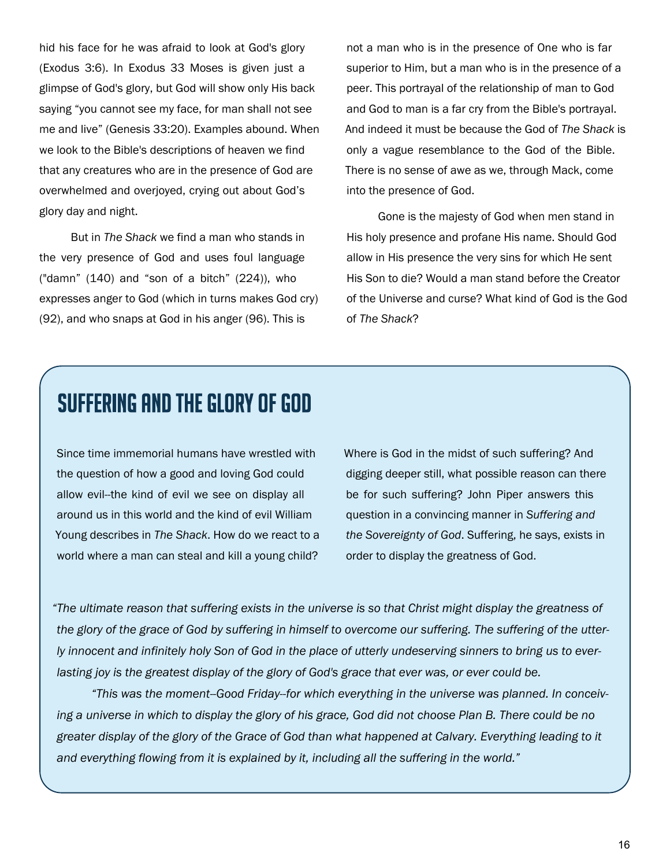hid his face for he was afraid to look at God's glory (Exodus 3:6). In Exodus 33 Moses is given just a glimpse of God's glory, but God will show only His back saying "you cannot see my face, for man shall not see me and live" (Genesis 33:20). Examples abound. When we look to the Bible's descriptions of heaven we find that any creatures who are in the presence of God are overwhelmed and overjoyed, crying out about God's glory day and night.

But in *The Shack* we find a man who stands in the very presence of God and uses foul language ("damn"  $(140)$  and "son of a bitch"  $(224)$ ), who expresses anger to God (which in turns makes God cry) (92), and who snaps at God in his anger (96). This is

not a man who is in the presence of One who is far superior to Him, but a man who is in the presence of a peer. This portrayal of the relationship of man to God and God to man is a far cry from the Bible's portrayal. And indeed it must be because the God of *The Shack* is only a vague resemblance to the God of the Bible. There is no sense of awe as we, through Mack, come into the presence of God.

Gone is the majesty of God when men stand in His holy presence and profane His name. Should God allow in His presence the very sins for which He sent His Son to die? Would a man stand before the Creator of the Universe and curse? What kind of God is the God of *The Shack*?

### SUFFERING AND THE GLORY OF GOD

Since time immemorial humans have wrestled with the question of how a good and loving God could allow evil--the kind of evil we see on display all around us in this world and the kind of evil William Young describes in *The Shack*. How do we react to a world where a man can steal and kill a young child?

Where is God in the midst of such suffering? And digging deeper still, what possible reason can there be for such suffering? John Piper answers this question in a convincing manner in *Suffering and the Sovereignty of God*. Suffering, he says, exists in order to display the greatness of God.

*"The ultimate reason that suffering exists in the universe is so that Christ might display the greatness of the glory of the grace of God by suffering in himself to overcome our suffering. The suffering of the utterly innocent and infinitely holy Son of God in the place of utterly undeserving sinners to bring us to everlasting joy is the greatest display of the glory of God's grace that ever was, or ever could be.*

*"This was the moment--Good Friday--for which everything in the universe was planned. In conceiving a universe in which to display the glory of his grace, God did not choose Plan B. There could be no greater display of the glory of the Grace of God than what happened at Calvary. Everything leading to it and everything flowing from it is explained by it, including all the suffering in the world."*